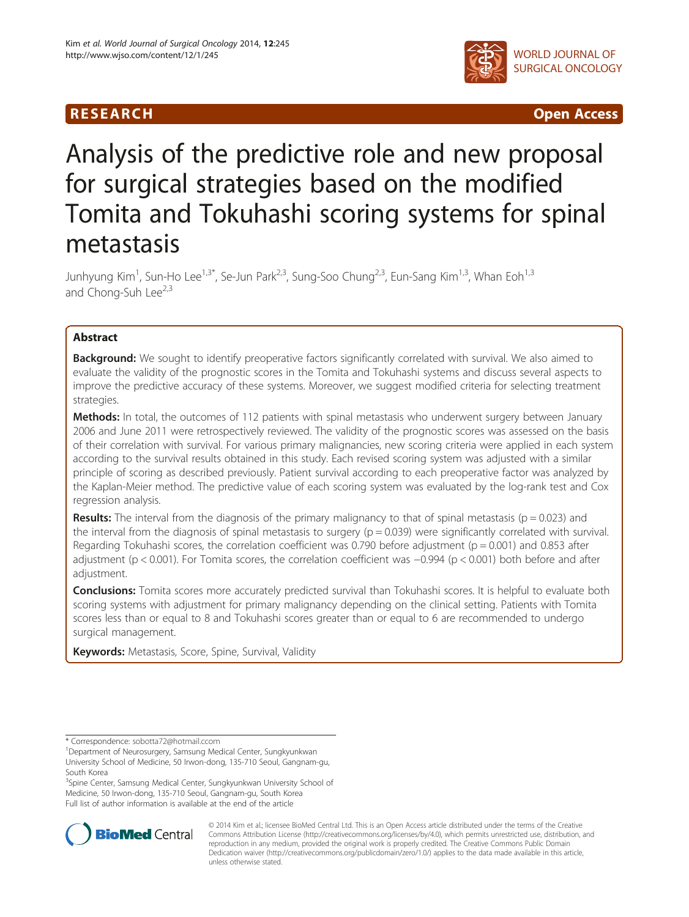

R E S EAR CH Open Access

# Analysis of the predictive role and new proposal for surgical strategies based on the modified Tomita and Tokuhashi scoring systems for spinal metastasis

Junhyung Kim<sup>1</sup>, Sun-Ho Lee<sup>1,3\*</sup>, Se-Jun Park<sup>2,3</sup>, Sung-Soo Chung<sup>2,3</sup>, Eun-Sang Kim<sup>1,3</sup>, Whan Eoh<sup>1,3</sup> and Chong-Suh Lee<sup>2,3</sup>

# Abstract

Background: We sought to identify preoperative factors significantly correlated with survival. We also aimed to evaluate the validity of the prognostic scores in the Tomita and Tokuhashi systems and discuss several aspects to improve the predictive accuracy of these systems. Moreover, we suggest modified criteria for selecting treatment strategies.

Methods: In total, the outcomes of 112 patients with spinal metastasis who underwent surgery between January 2006 and June 2011 were retrospectively reviewed. The validity of the prognostic scores was assessed on the basis of their correlation with survival. For various primary malignancies, new scoring criteria were applied in each system according to the survival results obtained in this study. Each revised scoring system was adjusted with a similar principle of scoring as described previously. Patient survival according to each preoperative factor was analyzed by the Kaplan-Meier method. The predictive value of each scoring system was evaluated by the log-rank test and Cox regression analysis.

**Results:** The interval from the diagnosis of the primary malignancy to that of spinal metastasis ( $p = 0.023$ ) and the interval from the diagnosis of spinal metastasis to surgery ( $p = 0.039$ ) were significantly correlated with survival. Regarding Tokuhashi scores, the correlation coefficient was 0.790 before adjustment ( $p = 0.001$ ) and 0.853 after adjustment (p < 0.001). For Tomita scores, the correlation coefficient was −0.994 (p < 0.001) both before and after adjustment.

Conclusions: Tomita scores more accurately predicted survival than Tokuhashi scores. It is helpful to evaluate both scoring systems with adjustment for primary malignancy depending on the clinical setting. Patients with Tomita scores less than or equal to 8 and Tokuhashi scores greater than or equal to 6 are recommended to undergo surgical management.

Keywords: Metastasis, Score, Spine, Survival, Validity

<sup>&</sup>lt;sup>3</sup>Spine Center, Samsung Medical Center, Sungkyunkwan University School of Medicine, 50 Irwon-dong, 135-710 Seoul, Gangnam-gu, South Korea Full list of author information is available at the end of the article



© 2014 Kim et al.; licensee BioMed Central Ltd. This is an Open Access article distributed under the terms of the Creative Commons Attribution License [\(http://creativecommons.org/licenses/by/4.0\)](http://creativecommons.org/licenses/by/4.0), which permits unrestricted use, distribution, and reproduction in any medium, provided the original work is properly credited. The Creative Commons Public Domain Dedication waiver [\(http://creativecommons.org/publicdomain/zero/1.0/](http://creativecommons.org/publicdomain/zero/1.0/)) applies to the data made available in this article, unless otherwise stated.

<sup>\*</sup> Correspondence: [sobotta72@hotmail.ccom](mailto:sobotta72@hotmail.ccom) <sup>1</sup>

<sup>&</sup>lt;sup>1</sup>Department of Neurosurgery, Samsung Medical Center, Sungkyunkwan University School of Medicine, 50 Irwon-dong, 135-710 Seoul, Gangnam-gu, South Korea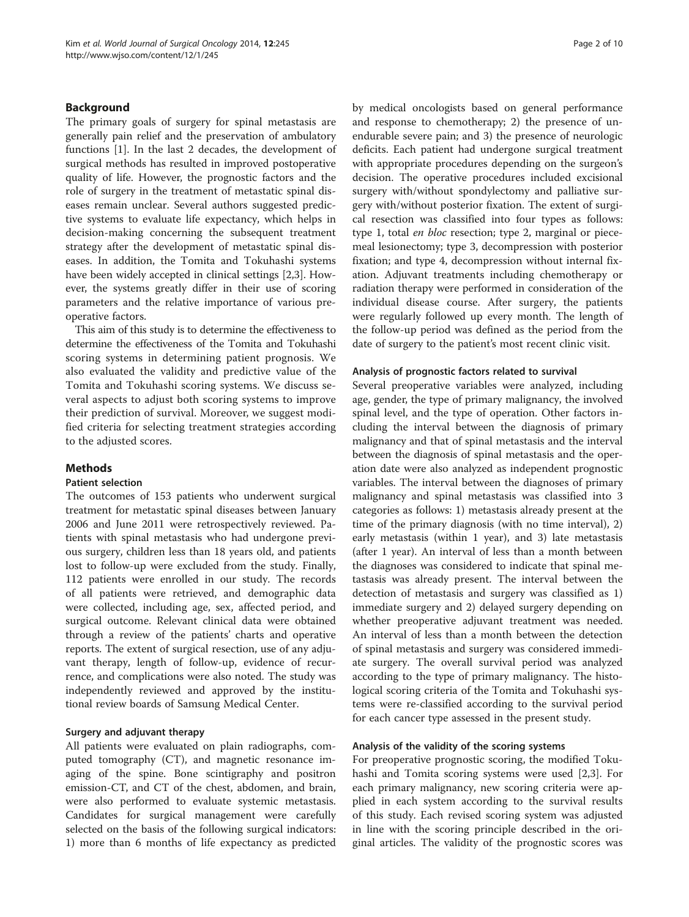# Background

The primary goals of surgery for spinal metastasis are generally pain relief and the preservation of ambulatory functions [[1\]](#page-8-0). In the last 2 decades, the development of surgical methods has resulted in improved postoperative quality of life. However, the prognostic factors and the role of surgery in the treatment of metastatic spinal diseases remain unclear. Several authors suggested predictive systems to evaluate life expectancy, which helps in decision-making concerning the subsequent treatment strategy after the development of metastatic spinal diseases. In addition, the Tomita and Tokuhashi systems have been widely accepted in clinical settings [\[2](#page-8-0)[,3](#page-9-0)]. However, the systems greatly differ in their use of scoring parameters and the relative importance of various preoperative factors.

This aim of this study is to determine the effectiveness to determine the effectiveness of the Tomita and Tokuhashi scoring systems in determining patient prognosis. We also evaluated the validity and predictive value of the Tomita and Tokuhashi scoring systems. We discuss several aspects to adjust both scoring systems to improve their prediction of survival. Moreover, we suggest modified criteria for selecting treatment strategies according to the adjusted scores.

# Methods

#### Patient selection

The outcomes of 153 patients who underwent surgical treatment for metastatic spinal diseases between January 2006 and June 2011 were retrospectively reviewed. Patients with spinal metastasis who had undergone previous surgery, children less than 18 years old, and patients lost to follow-up were excluded from the study. Finally, 112 patients were enrolled in our study. The records of all patients were retrieved, and demographic data were collected, including age, sex, affected period, and surgical outcome. Relevant clinical data were obtained through a review of the patients' charts and operative reports. The extent of surgical resection, use of any adjuvant therapy, length of follow-up, evidence of recurrence, and complications were also noted. The study was independently reviewed and approved by the institutional review boards of Samsung Medical Center.

#### Surgery and adjuvant therapy

All patients were evaluated on plain radiographs, computed tomography (CT), and magnetic resonance imaging of the spine. Bone scintigraphy and positron emission-CT, and CT of the chest, abdomen, and brain, were also performed to evaluate systemic metastasis. Candidates for surgical management were carefully selected on the basis of the following surgical indicators: 1) more than 6 months of life expectancy as predicted by medical oncologists based on general performance and response to chemotherapy; 2) the presence of unendurable severe pain; and 3) the presence of neurologic deficits. Each patient had undergone surgical treatment with appropriate procedures depending on the surgeon's decision. The operative procedures included excisional surgery with/without spondylectomy and palliative surgery with/without posterior fixation. The extent of surgical resection was classified into four types as follows: type 1, total en bloc resection; type 2, marginal or piecemeal lesionectomy; type 3, decompression with posterior fixation; and type 4, decompression without internal fixation. Adjuvant treatments including chemotherapy or radiation therapy were performed in consideration of the individual disease course. After surgery, the patients were regularly followed up every month. The length of the follow-up period was defined as the period from the date of surgery to the patient's most recent clinic visit.

#### Analysis of prognostic factors related to survival

Several preoperative variables were analyzed, including age, gender, the type of primary malignancy, the involved spinal level, and the type of operation. Other factors including the interval between the diagnosis of primary malignancy and that of spinal metastasis and the interval between the diagnosis of spinal metastasis and the operation date were also analyzed as independent prognostic variables. The interval between the diagnoses of primary malignancy and spinal metastasis was classified into 3 categories as follows: 1) metastasis already present at the time of the primary diagnosis (with no time interval), 2) early metastasis (within 1 year), and 3) late metastasis (after 1 year). An interval of less than a month between the diagnoses was considered to indicate that spinal metastasis was already present. The interval between the detection of metastasis and surgery was classified as 1) immediate surgery and 2) delayed surgery depending on whether preoperative adjuvant treatment was needed. An interval of less than a month between the detection of spinal metastasis and surgery was considered immediate surgery. The overall survival period was analyzed according to the type of primary malignancy. The histological scoring criteria of the Tomita and Tokuhashi systems were re-classified according to the survival period for each cancer type assessed in the present study.

# Analysis of the validity of the scoring systems

For preoperative prognostic scoring, the modified Tokuhashi and Tomita scoring systems were used [\[2](#page-8-0)[,3](#page-9-0)]. For each primary malignancy, new scoring criteria were applied in each system according to the survival results of this study. Each revised scoring system was adjusted in line with the scoring principle described in the original articles. The validity of the prognostic scores was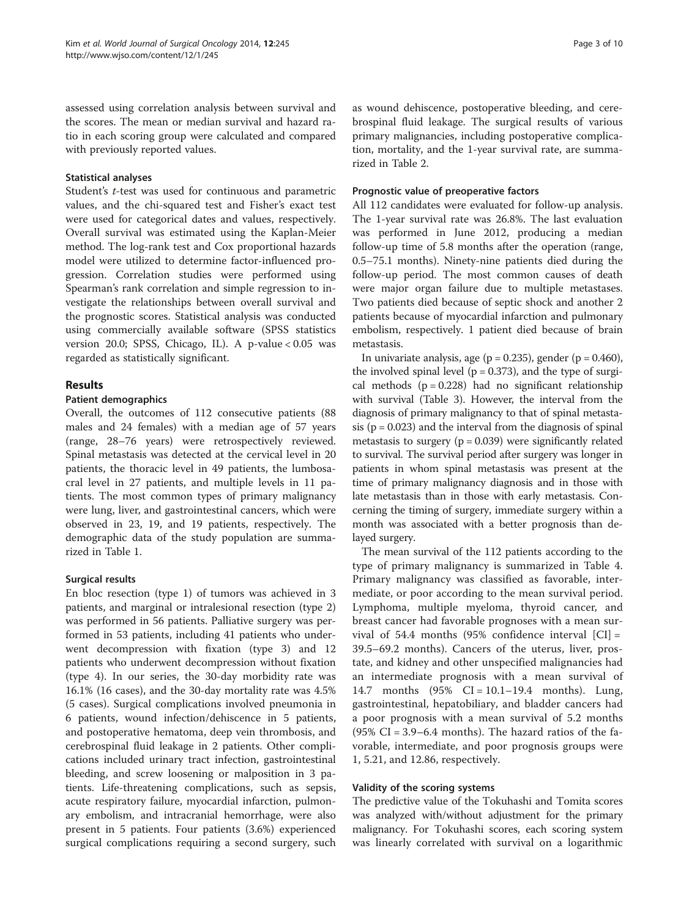assessed using correlation analysis between survival and the scores. The mean or median survival and hazard ratio in each scoring group were calculated and compared with previously reported values.

#### Statistical analyses

Student's t-test was used for continuous and parametric values, and the chi-squared test and Fisher's exact test were used for categorical dates and values, respectively. Overall survival was estimated using the Kaplan-Meier method. The log-rank test and Cox proportional hazards model were utilized to determine factor-influenced progression. Correlation studies were performed using Spearman's rank correlation and simple regression to investigate the relationships between overall survival and the prognostic scores. Statistical analysis was conducted using commercially available software (SPSS statistics version 20.0; SPSS, Chicago, IL). A p-value < 0.05 was regarded as statistically significant.

# Results

# Patient demographics

Overall, the outcomes of 112 consecutive patients (88 males and 24 females) with a median age of 57 years (range, 28–76 years) were retrospectively reviewed. Spinal metastasis was detected at the cervical level in 20 patients, the thoracic level in 49 patients, the lumbosacral level in 27 patients, and multiple levels in 11 patients. The most common types of primary malignancy were lung, liver, and gastrointestinal cancers, which were observed in 23, 19, and 19 patients, respectively. The demographic data of the study population are summarized in Table [1.](#page-3-0)

# Surgical results

En bloc resection (type 1) of tumors was achieved in 3 patients, and marginal or intralesional resection (type 2) was performed in 56 patients. Palliative surgery was performed in 53 patients, including 41 patients who underwent decompression with fixation (type 3) and 12 patients who underwent decompression without fixation (type 4). In our series, the 30-day morbidity rate was 16.1% (16 cases), and the 30-day mortality rate was 4.5% (5 cases). Surgical complications involved pneumonia in 6 patients, wound infection/dehiscence in 5 patients, and postoperative hematoma, deep vein thrombosis, and cerebrospinal fluid leakage in 2 patients. Other complications included urinary tract infection, gastrointestinal bleeding, and screw loosening or malposition in 3 patients. Life-threatening complications, such as sepsis, acute respiratory failure, myocardial infarction, pulmonary embolism, and intracranial hemorrhage, were also present in 5 patients. Four patients (3.6%) experienced surgical complications requiring a second surgery, such as wound dehiscence, postoperative bleeding, and cerebrospinal fluid leakage. The surgical results of various primary malignancies, including postoperative complication, mortality, and the 1-year survival rate, are summarized in Table [2.](#page-4-0)

#### Prognostic value of preoperative factors

All 112 candidates were evaluated for follow-up analysis. The 1-year survival rate was 26.8%. The last evaluation was performed in June 2012, producing a median follow-up time of 5.8 months after the operation (range, 0.5–75.1 months). Ninety-nine patients died during the follow-up period. The most common causes of death were major organ failure due to multiple metastases. Two patients died because of septic shock and another 2 patients because of myocardial infarction and pulmonary embolism, respectively. 1 patient died because of brain metastasis.

In univariate analysis, age ( $p = 0.235$ ), gender ( $p = 0.460$ ), the involved spinal level ( $p = 0.373$ ), and the type of surgical methods  $(p = 0.228)$  had no significant relationship with survival (Table [3](#page-5-0)). However, the interval from the diagnosis of primary malignancy to that of spinal metastasis ( $p = 0.023$ ) and the interval from the diagnosis of spinal metastasis to surgery  $(p = 0.039)$  were significantly related to survival. The survival period after surgery was longer in patients in whom spinal metastasis was present at the time of primary malignancy diagnosis and in those with late metastasis than in those with early metastasis. Concerning the timing of surgery, immediate surgery within a month was associated with a better prognosis than delayed surgery.

The mean survival of the 112 patients according to the type of primary malignancy is summarized in Table [4](#page-5-0). Primary malignancy was classified as favorable, intermediate, or poor according to the mean survival period. Lymphoma, multiple myeloma, thyroid cancer, and breast cancer had favorable prognoses with a mean survival of 54.4 months  $(95\% \text{ confidence interval } |CI| =$ 39.5–69.2 months). Cancers of the uterus, liver, prostate, and kidney and other unspecified malignancies had an intermediate prognosis with a mean survival of 14.7 months (95% CI = 10.1–19.4 months). Lung, gastrointestinal, hepatobiliary, and bladder cancers had a poor prognosis with a mean survival of 5.2 months  $(95\% \text{ CI} = 3.9 - 6.4 \text{ months})$ . The hazard ratios of the favorable, intermediate, and poor prognosis groups were 1, 5.21, and 12.86, respectively.

#### Validity of the scoring systems

The predictive value of the Tokuhashi and Tomita scores was analyzed with/without adjustment for the primary malignancy. For Tokuhashi scores, each scoring system was linearly correlated with survival on a logarithmic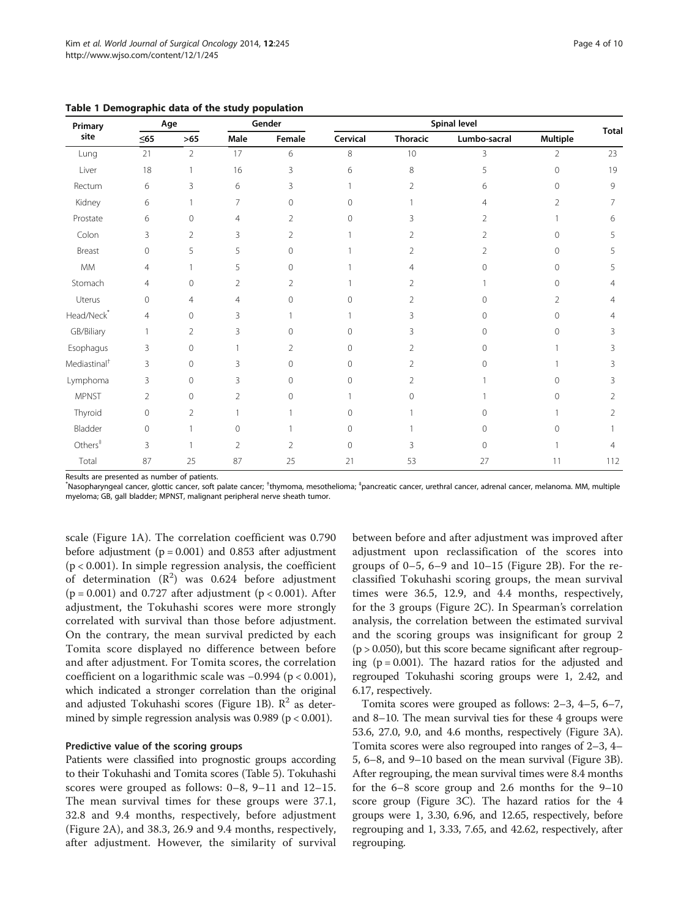| Primary<br>site          | Age            |                | Gender         |        | <b>Spinal level</b> |                 |              |          |                |
|--------------------------|----------------|----------------|----------------|--------|---------------------|-----------------|--------------|----------|----------------|
|                          | $\leq$ 65      | $>65$          | Male           | Female | Cervical            | <b>Thoracic</b> | Lumbo-sacral | Multiple | Total          |
| Lung                     | 21             | $\overline{2}$ | 17             | 6      | 8                   | 10              | 3            | 2        | 23             |
| Liver                    | 18             |                | 16             | 3      | 6                   | 8               | 5            | 0        | 19             |
| Rectum                   | 6              | 3              | 6              | 3      |                     | $\overline{2}$  | 6            | 0        | 9              |
| Kidney                   | 6              |                | 7              | 0      | 0                   |                 | 4            | 2        | 7              |
| Prostate                 | 6              | 0              | $\overline{4}$ | 2      | $\Omega$            | 3               | 2            |          | 6              |
| Colon                    | 3              | $\overline{2}$ | 3              | 2      |                     | C,              | 2            | Ω        | 5              |
| Breast                   | $\overline{0}$ | 5              | 5              | 0      |                     | 2               | 2            | 0        | 5              |
| MM                       | 4              |                | 5              | 0      |                     | 4               | Ω            |          | 5              |
| Stomach                  | 4              | 0              | $\overline{2}$ | 2      |                     | 2               |              | ∩        | 4              |
| Uterus                   | $\overline{0}$ | $\overline{4}$ | $\overline{4}$ | 0      | 0                   | 2               | 0            | 2        | 4              |
| Head/Neck <sup>*</sup>   | 4              | 0              | 3              |        |                     | 3               | 0            | 0        | 4              |
| GB/Biliary               | 1              | $\overline{2}$ | 3              | 0      | $\Omega$            | 3               | Ω            | 0        | 3              |
| Esophagus                | 3              | $\Omega$       |                | 2      | $\Omega$            | 2               | ∩            |          | 3              |
| Mediastinal <sup>†</sup> | 3              | 0              | 3              | 0      | 0                   | 2               | ∩            |          | ξ              |
| Lymphoma                 | 3              | 0              | 3              | 0      | 0                   | 2               |              |          | 3              |
| <b>MPNST</b>             | $\overline{2}$ | 0              | $\overline{2}$ | 0      |                     | 0               |              | ∩        | 2              |
| Thyroid                  | $\overline{0}$ | $\overline{2}$ |                |        | $\Omega$            |                 | Ω            |          | 2              |
| Bladder                  | $\circ$        |                | $\mathbf{0}$   |        | $\mathbf{0}$        |                 | $\Omega$     | Ω        |                |
| $\mathrm{Others}^+$      | 3              |                | $\overline{2}$ | 2      | 0                   | 3               | 0            |          | $\overline{4}$ |
| Total                    | 87             | 25             | 87             | 25     | 21                  | 53              | 27           | 11       | 112            |

<span id="page-3-0"></span>Table 1 Demographic data of the study population

Results are presented as number of patients.

\*Nasopharyngeal cancer, glottic cancer, soft palate cancer; <sup>†</sup>thymoma, mesothelioma; <sup>‡</sup>pancreatic cancer, urethral cancer, adrenal cancer, melanoma. MM, multiple myeloma; GB, gall bladder; MPNST, malignant peripheral nerve sheath tumor.

scale (Figure [1](#page-6-0)A). The correlation coefficient was 0.790 before adjustment ( $p = 0.001$ ) and 0.853 after adjustment  $(p < 0.001)$ . In simple regression analysis, the coefficient of determination  $(R^2)$  was 0.624 before adjustment  $(p = 0.001)$  and 0.727 after adjustment  $(p < 0.001)$ . After adjustment, the Tokuhashi scores were more strongly correlated with survival than those before adjustment. On the contrary, the mean survival predicted by each Tomita score displayed no difference between before and after adjustment. For Tomita scores, the correlation coefficient on a logarithmic scale was −0.994 (p < 0.001), which indicated a stronger correlation than the original and adjusted Tokuhashi scores (Figure [1B](#page-6-0)).  $\mathbb{R}^2$  as determined by simple regression analysis was  $0.989$  ( $p < 0.001$ ).

#### Predictive value of the scoring groups

Patients were classified into prognostic groups according to their Tokuhashi and Tomita scores (Table [5\)](#page-6-0). Tokuhashi scores were grouped as follows: 0–8, 9–11 and 12–15. The mean survival times for these groups were 37.1, 32.8 and 9.4 months, respectively, before adjustment (Figure [2](#page-7-0)A), and 38.3, 26.9 and 9.4 months, respectively, after adjustment. However, the similarity of survival

between before and after adjustment was improved after adjustment upon reclassification of the scores into groups of 0–5, 6–9 and 10–15 (Figure [2](#page-7-0)B). For the reclassified Tokuhashi scoring groups, the mean survival times were 36.5, 12.9, and 4.4 months, respectively, for the 3 groups (Figure [2C](#page-7-0)). In Spearman's correlation analysis, the correlation between the estimated survival and the scoring groups was insignificant for group 2  $(p > 0.050)$ , but this score became significant after regrouping  $(p = 0.001)$ . The hazard ratios for the adjusted and regrouped Tokuhashi scoring groups were 1, 2.42, and 6.17, respectively.

Tomita scores were grouped as follows: 2–3, 4–5, 6–7, and 8–10. The mean survival ties for these 4 groups were 53.6, 27.0, 9.0, and 4.6 months, respectively (Figure [3](#page-7-0)A). Tomita scores were also regrouped into ranges of 2–3, 4– 5, 6–8, and 9–10 based on the mean survival (Figure [3B](#page-7-0)). After regrouping, the mean survival times were 8.4 months for the 6–8 score group and 2.6 months for the 9–10 score group (Figure [3](#page-7-0)C). The hazard ratios for the 4 groups were 1, 3.30, 6.96, and 12.65, respectively, before regrouping and 1, 3.33, 7.65, and 42.62, respectively, after regrouping.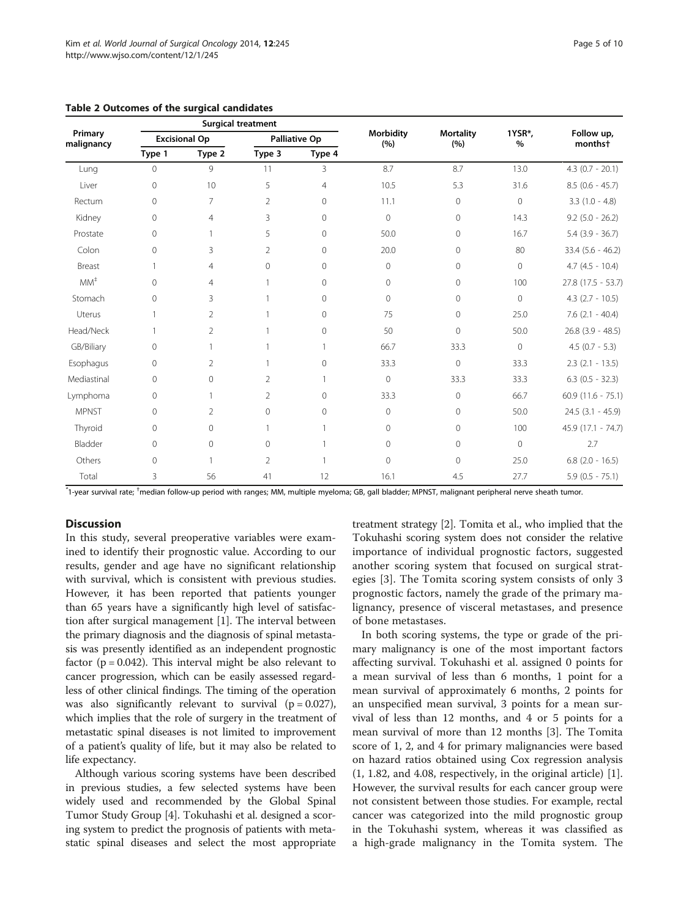|                            |                |                      | <b>Surgical treatment</b> |                |                   |                         |                |                                   |
|----------------------------|----------------|----------------------|---------------------------|----------------|-------------------|-------------------------|----------------|-----------------------------------|
| Primary<br>malignancy      |                | <b>Excisional Op</b> | Palliative Op             |                | Morbidity<br>(% ) | <b>Mortality</b><br>(%) | 1YSR*,<br>%    | Follow up,<br>months <sup>+</sup> |
|                            | Type 1         | Type 2               | Type 3                    | Type 4         |                   |                         |                |                                   |
| Lung                       | $\overline{0}$ | $\mathsf{Q}$         | 11                        | 3              | 8.7               | 8.7                     | 13.0           | $4.3$ (0.7 - 20.1)                |
| Liver                      | 0              | 10                   | 5                         | $\overline{4}$ | 10.5              | 5.3                     | 31.6           | $8.5$ (0.6 - 45.7)                |
| Rectum                     | 0              | 7                    | 2                         | $\Omega$       | 11.1              | $\mathbf{0}$            | $\circ$        | $3.3(1.0 - 4.8)$                  |
| Kidney                     | 0              | $\overline{4}$       | 3                         | $\Omega$       | $\circ$           | $\mathbf{0}$            | 14.3           | $9.2$ (5.0 - 26.2)                |
| Prostate                   | 0              | 1                    | 5                         | $\mathbf{0}$   | 50.0              | $\Omega$                | 16.7           | $5.4$ (3.9 - 36.7)                |
| Colon                      | 0              | 3                    | $\overline{2}$            | $\Omega$       | 20.0              | $\Omega$                | 80             | $33.4$ (5.6 - 46.2)               |
| Breast                     | 1              | $\overline{4}$       | 0                         | $\mathbf{0}$   | $\circ$           | $\mathbf{0}$            | $\circ$        | $4.7(4.5 - 10.4)$                 |
| $\textsf{MM}^{\texttt{+}}$ | 0              | 4                    |                           | $\mathbf{0}$   | $\circ$           | $\Omega$                | 100            | 27.8 (17.5 - 53.7)                |
| Stomach                    | 0              | 3                    |                           | $\Omega$       | $\Omega$          | $\Omega$                | $\Omega$       | $4.3$ (2.7 - 10.5)                |
| Uterus                     | 1              | $\overline{2}$       |                           | $\Omega$       | 75                | $\Omega$                | 25.0           | $7.6$ $(2.1 - 40.4)$              |
| Head/Neck                  |                | $\overline{2}$       |                           | $\overline{0}$ | 50                | $\mathbf{0}$            | 50.0           | $26.8$ (3.9 - 48.5)               |
| GB/Biliary                 | 0              | 1                    |                           |                | 66.7              | 33.3                    | $\mathbf{0}$   | $4.5$ (0.7 - 5.3)                 |
| Esophagus                  | 0              | 2                    |                           | $\mathbf{0}$   | 33.3              | $\mathbf{0}$            | 33.3           | $2.3$ ( $2.1 - 13.5$ )            |
| Mediastinal                | 0              | 0                    | $\overline{2}$            |                | $\circ$           | 33.3                    | 33.3           | $6.3$ $(0.5 - 32.3)$              |
| Lymphoma                   | 0              | 1                    | $\overline{2}$            | $\Omega$       | 33.3              | $\mathbf{0}$            | 66.7           | $60.9(11.6 - 75.1)$               |
| <b>MPNST</b>               | 0              | $\mathfrak{D}$       | $\Omega$                  | $\Omega$       | $\circ$           | $\Omega$                | 50.0           | $24.5$ (3.1 - 45.9)               |
| Thyroid                    | 0              | 0                    | 1                         |                | $\circ$           | 0                       | 100            | 45.9 (17.1 - 74.7)                |
| Bladder                    | 0              | 0                    | $\Omega$                  |                | $\circ$           | $\circ$                 | $\overline{0}$ | 2.7                               |
| Others                     | 0              | 1                    | $\overline{2}$            |                | $\Omega$          | $\Omega$                | 25.0           | $6.8$ (2.0 - 16.5)                |
| Total                      | 3              | 56                   | 41                        | 12             | 16.1              | 4.5                     | 27.7           | $5.9$ (0.5 - 75.1)                |

<span id="page-4-0"></span>Table 2 Outcomes of the surgical candidates

\* 1-year survival rate; † median follow-up period with ranges; MM, multiple myeloma; GB, gall bladder; MPNST, malignant peripheral nerve sheath tumor.

# Discussion

In this study, several preoperative variables were examined to identify their prognostic value. According to our results, gender and age have no significant relationship with survival, which is consistent with previous studies. However, it has been reported that patients younger than 65 years have a significantly high level of satisfaction after surgical management [[1](#page-8-0)]. The interval between the primary diagnosis and the diagnosis of spinal metastasis was presently identified as an independent prognostic factor ( $p = 0.042$ ). This interval might be also relevant to cancer progression, which can be easily assessed regardless of other clinical findings. The timing of the operation was also significantly relevant to survival  $(p = 0.027)$ , which implies that the role of surgery in the treatment of metastatic spinal diseases is not limited to improvement of a patient's quality of life, but it may also be related to life expectancy.

Although various scoring systems have been described in previous studies, a few selected systems have been widely used and recommended by the Global Spinal Tumor Study Group [\[4](#page-9-0)]. Tokuhashi et al. designed a scoring system to predict the prognosis of patients with metastatic spinal diseases and select the most appropriate

treatment strategy [\[2](#page-8-0)]. Tomita et al., who implied that the Tokuhashi scoring system does not consider the relative importance of individual prognostic factors, suggested another scoring system that focused on surgical strategies [[3\]](#page-9-0). The Tomita scoring system consists of only 3 prognostic factors, namely the grade of the primary malignancy, presence of visceral metastases, and presence of bone metastases.

In both scoring systems, the type or grade of the primary malignancy is one of the most important factors affecting survival. Tokuhashi et al. assigned 0 points for a mean survival of less than 6 months, 1 point for a mean survival of approximately 6 months, 2 points for an unspecified mean survival, 3 points for a mean survival of less than 12 months, and 4 or 5 points for a mean survival of more than 12 months [[3](#page-9-0)]. The Tomita score of 1, 2, and 4 for primary malignancies were based on hazard ratios obtained using Cox regression analysis (1, 1.82, and 4.08, respectively, in the original article) [\[1](#page-8-0)]. However, the survival results for each cancer group were not consistent between those studies. For example, rectal cancer was categorized into the mild prognostic group in the Tokuhashi system, whereas it was classified as a high-grade malignancy in the Tomita system. The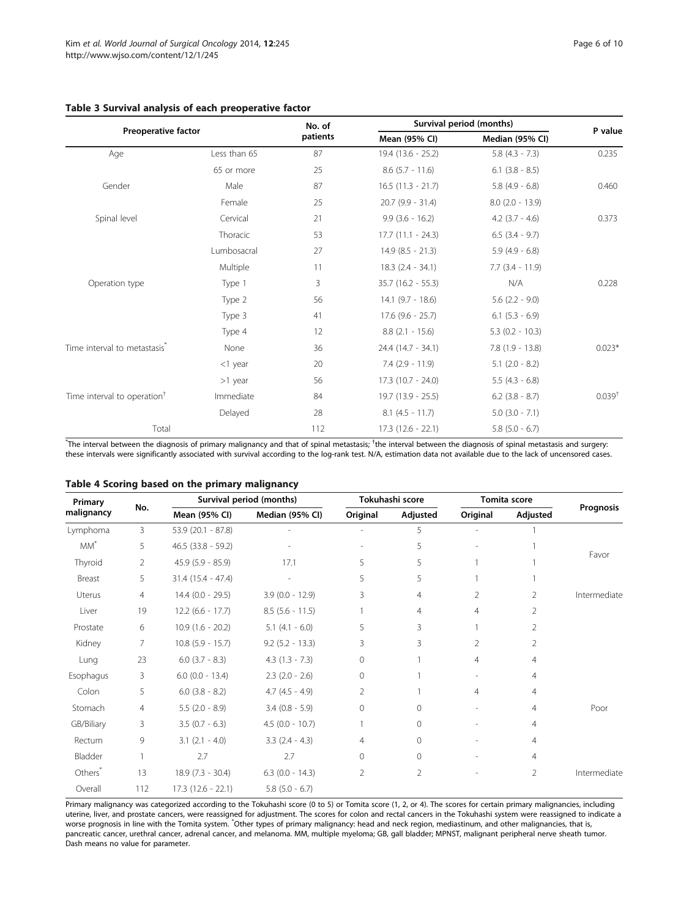# <span id="page-5-0"></span>Table 3 Survival analysis of each preoperative factor

|                                          |              | No. of   | Survival period (months) |                      |                    |
|------------------------------------------|--------------|----------|--------------------------|----------------------|--------------------|
| Preoperative factor                      |              | patients | Mean (95% CI)            | Median (95% CI)      | P value<br>0.235   |
| Age                                      | Less than 65 | 87       | 19.4 (13.6 - 25.2)       | $5.8$ (4.3 - 7.3)    |                    |
|                                          | 65 or more   | 25       | $8.6$ (5.7 - 11.6)       | $6.1$ $(3.8 - 8.5)$  |                    |
| Gender                                   | Male         | 87       | $16.5$ (11.3 - 21.7)     | $5.8$ (4.9 - 6.8)    | 0.460              |
|                                          | Female       | 25       | $20.7$ (9.9 - 31.4)      | $8.0$ (2.0 - 13.9)   |                    |
| Spinal level                             | Cervical     | 21       | $9.9(3.6 - 16.2)$        | $4.2$ $(3.7 - 4.6)$  | 0.373              |
|                                          | Thoracic     | 53       | $17.7(11.1 - 24.3)$      | $6.5$ $(3.4 - 9.7)$  |                    |
|                                          | Lumbosacral  | 27       | $14.9(8.5 - 21.3)$       | $5.9(4.9 - 6.8)$     |                    |
|                                          | Multiple     | 11       | $18.3(2.4 - 34.1)$       | $7.7$ $(3.4 - 11.9)$ |                    |
| Operation type                           | Type 1       | 3        | $35.7$ (16.2 - 55.3)     | N/A                  | 0.228              |
|                                          | Type 2       | 56       | $14.1$ (9.7 - 18.6)      | $5.6$ (2.2 - 9.0)    |                    |
|                                          | Type 3       | 41       | $17.6$ (9.6 - 25.7)      | $6.1$ $(5.3 - 6.9)$  |                    |
|                                          | Type 4       | 12       | $8.8$ (2.1 - 15.6)       | $5.3$ (0.2 - 10.3)   |                    |
| Time interval to metastasis <sup>®</sup> | None         | 36       | 24.4 (14.7 - 34.1)       | $7.8(1.9 - 13.8)$    | $0.023*$           |
|                                          | $<$ 1 year   | 20       | $7.4$ (2.9 - 11.9)       | $5.1$ (2.0 - 8.2)    |                    |
|                                          | $>1$ year    | 56       | $17.3(10.7 - 24.0)$      | $5.5(4.3 - 6.8)$     |                    |
| Time interval to operation <sup>†</sup>  | Immediate    | 84       | $19.7(13.9 - 25.5)$      | $6.2$ (3.8 - 8.7)    | 0.039 <sup>†</sup> |
|                                          | Delayed      | 28       | $8.1$ (4.5 - 11.7)       | $5.0$ $(3.0 - 7.1)$  |                    |
| Total                                    |              | 112      | $17.3(12.6 - 22.1)$      | $5.8$ (5.0 - 6.7)    |                    |

 $^*$ The interval between the diagnosis of primary malignancy and that of spinal metastasis;  $^{\dagger}$ the interval between the diagnosis of spinal metastasis and surgery: these intervals were significantly associated with survival according to the log-rank test. N/A, estimation data not available due to the lack of uncensored cases.

| Primary<br>malignancy |                | Survival period (months) |                     | Tokuhashi score | Tomita score   |                |                |              |  |
|-----------------------|----------------|--------------------------|---------------------|-----------------|----------------|----------------|----------------|--------------|--|
|                       | No.            | Mean (95% CI)            | Median (95% CI)     | Original        | Adjusted       | Original       | Adjusted       | Prognosis    |  |
| Lymphoma              | 3              | 53.9 (20.1 - 87.8)       |                     |                 | 5              |                |                |              |  |
| $MM^*$                | 5              | $46.5$ (33.8 - 59.2)     |                     |                 | 5              |                |                |              |  |
| Thyroid               | $\overline{2}$ | $45.9$ (5.9 - 85.9)      | 5<br>17.1           |                 | 5              |                |                | Favor        |  |
| Breast                | 5              | $31.4$ (15.4 - 47.4)     |                     | 5<br>5          |                |                |                |              |  |
| Uterus                | 4              | $14.4$ (0.0 - 29.5)      | $3.9(0.0 - 12.9)$   | 3               | $\overline{4}$ | 2              | 2              | Intermediate |  |
| Liver                 | 19             | $12.2$ (6.6 - 17.7)      | $8.5$ (5.6 - 11.5)  |                 | 4              | $\overline{4}$ | $\overline{2}$ |              |  |
| Prostate              | 6              | $10.9(1.6 - 20.2)$       | $5.1$ (4.1 - 6.0)   | 5               | 3              |                | 2              |              |  |
| Kidney                | $\overline{7}$ | $10.8$ (5.9 - 15.7)      | $9.2$ (5.2 - 13.3)  | 3               | 3              | $\overline{2}$ | $\overline{2}$ |              |  |
| Lung                  | 23             | $6.0$ (3.7 - 8.3)        | $4.3(1.3 - 7.3)$    | 0               |                | 4              | 4              |              |  |
| Esophagus             | 3              | $6.0$ (0.0 - 13.4)       | $2.3$ (2.0 - 2.6)   | $\circ$         |                |                | 4              |              |  |
| Colon                 | 5              | $6.0$ (3.8 - 8.2)        | $4.7(4.5 - 4.9)$    | $\overline{2}$  |                | $\overline{4}$ | 4              |              |  |
| Stomach               | 4              | $5.5(2.0 - 8.9)$         | $3.4$ (0.8 - 5.9)   | $\circ$         | $\mathbf{0}$   |                | 4              | Poor         |  |
| GB/Biliary            | 3              | $3.5(0.7 - 6.3)$         | $4.5$ (0.0 - 10.7)  |                 | $\mathbf{0}$   |                | 4              |              |  |
| Rectum                | 9              | $3.1$ $(2.1 - 4.0)$      | $3.3$ $(2.4 - 4.3)$ | $\overline{4}$  | $\circ$        |                | $\overline{4}$ |              |  |
| Bladder               | 1              | 2.7                      | 2.7                 | $\circ$         | $\circ$        |                | $\overline{4}$ |              |  |
| Others <sup>*</sup>   | 13             | $18.9(7.3 - 30.4)$       | $6.3$ (0.0 - 14.3)  | $\overline{2}$  | 2              |                | 2              | Intermediate |  |
| Overall               | 112            | $17.3(12.6 - 22.1)$      | $5.8$ (5.0 - 6.7)   |                 |                |                |                |              |  |

Primary malignancy was categorized according to the Tokuhashi score (0 to 5) or Tomita score (1, 2, or 4). The scores for certain primary malignancies, including uterine, liver, and prostate cancers, were reassigned for adjustment. The scores for colon and rectal cancers in the Tokuhashi system were reassigned to indicate a worse prognosis in line with the Tomita system. <sup>\*</sup>Other types of primary malignancy: head and neck region, mediastinum, and other malignancies, that is, pancreatic cancer, urethral cancer, adrenal cancer, and melanoma. MM, multiple myeloma; GB, gall bladder; MPNST, malignant peripheral nerve sheath tumor. Dash means no value for parameter.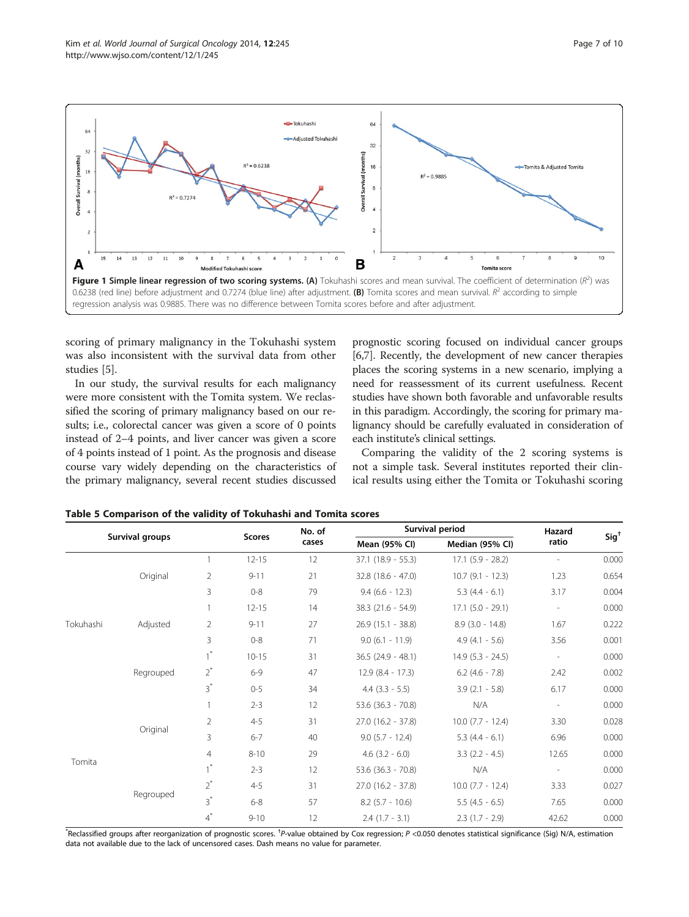<span id="page-6-0"></span>

scoring of primary malignancy in the Tokuhashi system was also inconsistent with the survival data from other studies [\[5\]](#page-9-0).

In our study, the survival results for each malignancy were more consistent with the Tomita system. We reclassified the scoring of primary malignancy based on our results; i.e., colorectal cancer was given a score of 0 points instead of 2–4 points, and liver cancer was given a score of 4 points instead of 1 point. As the prognosis and disease course vary widely depending on the characteristics of the primary malignancy, several recent studies discussed

prognostic scoring focused on individual cancer groups [[6,7](#page-9-0)]. Recently, the development of new cancer therapies places the scoring systems in a new scenario, implying a need for reassessment of its current usefulness. Recent studies have shown both favorable and unfavorable results in this paradigm. Accordingly, the scoring for primary malignancy should be carefully evaluated in consideration of each institute's clinical settings.

Comparing the validity of the 2 scoring systems is not a simple task. Several institutes reported their clinical results using either the Tomita or Tokuhashi scoring

|                 |           |                | No. of        | Survival period | Hazard               | $Sig^{\dagger}$       |                          |       |
|-----------------|-----------|----------------|---------------|-----------------|----------------------|-----------------------|--------------------------|-------|
| Survival groups |           |                | <b>Scores</b> | cases           | Mean (95% CI)        | Median (95% CI)       | ratio                    |       |
|                 |           |                | $12 - 15$     | 12              | $37.1$ (18.9 - 55.3) | $17.1$ $(5.9 - 28.2)$ |                          | 0.000 |
|                 | Original  | $\overline{2}$ | $9 - 11$      | 21              | 32.8 (18.6 - 47.0)   | $10.7$ (9.1 - 12.3)   | 1.23                     | 0.654 |
|                 |           | 3              | $0 - 8$       | 79              | $9.4(6.6 - 12.3)$    | $5.3(4.4 - 6.1)$      | 3.17                     | 0.004 |
|                 |           |                | $12 - 15$     | 14              | 38.3 (21.6 - 54.9)   | $17.1$ $(5.0 - 29.1)$ | $\overline{\phantom{a}}$ | 0.000 |
| Tokuhashi       | Adjusted  | $\overline{2}$ | $9 - 11$      | 27              | $26.9(15.1 - 38.8)$  | $8.9$ (3.0 - 14.8)    | 1.67                     | 0.222 |
|                 |           | 3              | $0 - 8$       | 71              | $9.0$ (6.1 - 11.9)   | $4.9(4.1 - 5.6)$      | 3.56                     | 0.001 |
|                 |           |                | $10 - 15$     | 31              | $36.5$ (24.9 - 48.1) | $14.9$ (5.3 - 24.5)   | $\overline{\phantom{a}}$ | 0.000 |
|                 | Regrouped | $2^*$          | $6 - 9$       | 47              | $12.9(8.4 - 17.3)$   | $6.2$ (4.6 - 7.8)     | 2.42                     | 0.002 |
|                 |           | $3^*$          | $0 - 5$       | 34              | $4.4$ (3.3 - 5.5)    | $3.9(2.1 - 5.8)$      | 6.17                     | 0.000 |
| Tomita          |           |                | $2 - 3$       | 12              | 53.6 (36.3 - 70.8)   | N/A                   |                          | 0.000 |
|                 |           | $\overline{2}$ | $4 - 5$       | 31              | $27.0$ (16.2 - 37.8) | $10.0$ (7.7 - 12.4)   | 3.30                     | 0.028 |
|                 | Original  | 3              | $6 - 7$       | 40              | $9.0$ (5.7 - 12.4)   | $5.3(4.4 - 6.1)$      | 6.96                     | 0.000 |
|                 |           | $\overline{4}$ | $8 - 10$      | 29              | $4.6$ (3.2 - 6.0)    | $3.3$ $(2.2 - 4.5)$   | 12.65                    | 0.000 |
|                 |           | $\tau^*$       | $2 - 3$       | 12              | $53.6$ (36.3 - 70.8) | N/A                   |                          | 0.000 |
|                 |           | $2^*$          | $4 - 5$       | 31              | $27.0$ (16.2 - 37.8) | $10.0$ (7.7 - 12.4)   | 3.33                     | 0.027 |
|                 | Regrouped | $3^*$          | $6 - 8$       | 57              | $8.2$ (5.7 - 10.6)   | $5.5(4.5 - 6.5)$      | 7.65                     | 0.000 |
|                 |           | $4^{*}$        | $9 - 10$      | 12              | $2.4$ (1.7 - 3.1)    | $2.3(1.7 - 2.9)$      | 42.62                    | 0.000 |

#### Table 5 Comparison of the validity of Tokuhashi and Tomita scores

\*Reclassified groups after reorganization of prognostic scores. <sup>†</sup>P-value obtained by Cox regression; P <0.050 denotes statistical significance (Sig) N/A, estimation data not available due to the lack of uncensored cases. Dash means no value for parameter.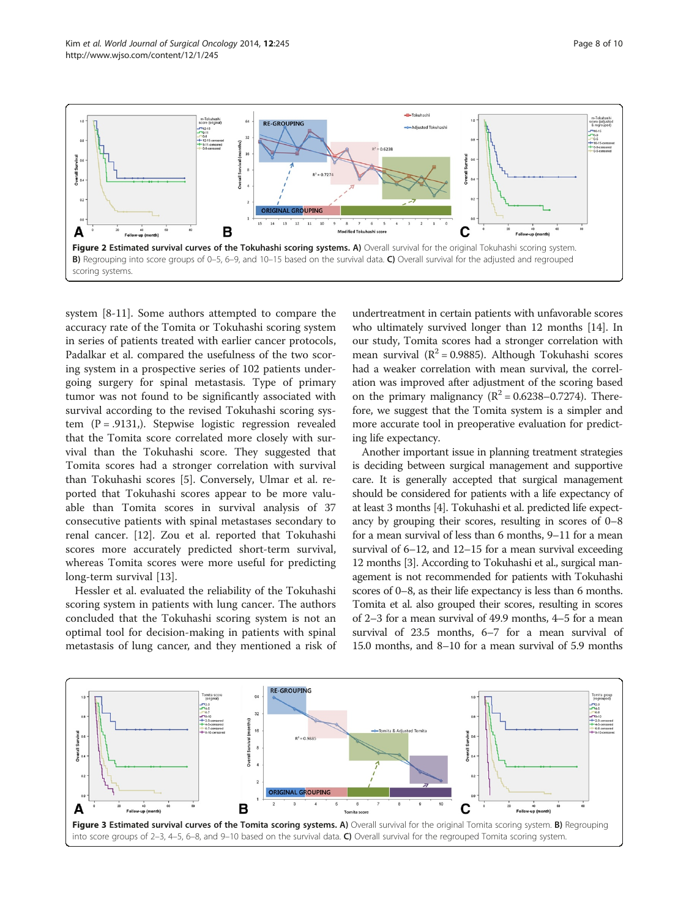<span id="page-7-0"></span>

system [[8-11\]](#page-9-0). Some authors attempted to compare the accuracy rate of the Tomita or Tokuhashi scoring system in series of patients treated with earlier cancer protocols, Padalkar et al. compared the usefulness of the two scoring system in a prospective series of 102 patients undergoing surgery for spinal metastasis. Type of primary tumor was not found to be significantly associated with survival according to the revised Tokuhashi scoring system  $(P = .9131)$ . Stepwise logistic regression revealed that the Tomita score correlated more closely with survival than the Tokuhashi score. They suggested that Tomita scores had a stronger correlation with survival than Tokuhashi scores [[5\]](#page-9-0). Conversely, Ulmar et al. reported that Tokuhashi scores appear to be more valuable than Tomita scores in survival analysis of 37 consecutive patients with spinal metastases secondary to renal cancer. [[12\]](#page-9-0). Zou et al. reported that Tokuhashi scores more accurately predicted short-term survival, whereas Tomita scores were more useful for predicting long-term survival [\[13\]](#page-9-0).

Hessler et al. evaluated the reliability of the Tokuhashi scoring system in patients with lung cancer. The authors concluded that the Tokuhashi scoring system is not an optimal tool for decision-making in patients with spinal metastasis of lung cancer, and they mentioned a risk of

undertreatment in certain patients with unfavorable scores who ultimately survived longer than 12 months [\[14\]](#page-9-0). In our study, Tomita scores had a stronger correlation with mean survival  $(R^2 = 0.9885)$ . Although Tokuhashi scores had a weaker correlation with mean survival, the correlation was improved after adjustment of the scoring based on the primary malignancy  $(R^2 = 0.6238 - 0.7274)$ . Therefore, we suggest that the Tomita system is a simpler and more accurate tool in preoperative evaluation for predicting life expectancy.

Another important issue in planning treatment strategies is deciding between surgical management and supportive care. It is generally accepted that surgical management should be considered for patients with a life expectancy of at least 3 months [[4\]](#page-9-0). Tokuhashi et al. predicted life expectancy by grouping their scores, resulting in scores of 0–8 for a mean survival of less than 6 months, 9–11 for a mean survival of 6–12, and 12–15 for a mean survival exceeding 12 months [\[3\]](#page-9-0). According to Tokuhashi et al., surgical management is not recommended for patients with Tokuhashi scores of 0–8, as their life expectancy is less than 6 months. Tomita et al. also grouped their scores, resulting in scores of 2–3 for a mean survival of 49.9 months, 4–5 for a mean survival of 23.5 months, 6–7 for a mean survival of 15.0 months, and 8–10 for a mean survival of 5.9 months

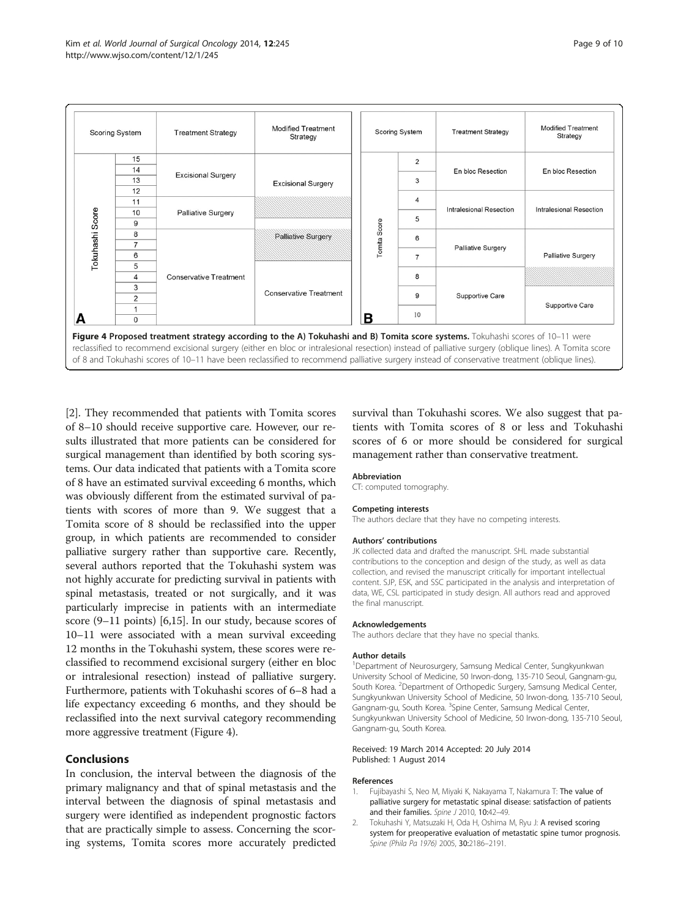<span id="page-8-0"></span>

[2]. They recommended that patients with Tomita scores of 8–10 should receive supportive care. However, our results illustrated that more patients can be considered for surgical management than identified by both scoring systems. Our data indicated that patients with a Tomita score of 8 have an estimated survival exceeding 6 months, which was obviously different from the estimated survival of patients with scores of more than 9. We suggest that a Tomita score of 8 should be reclassified into the upper group, in which patients are recommended to consider palliative surgery rather than supportive care. Recently, several authors reported that the Tokuhashi system was not highly accurate for predicting survival in patients with spinal metastasis, treated or not surgically, and it was particularly imprecise in patients with an intermediate score (9–11 points) [\[6,15\]](#page-9-0). In our study, because scores of 10–11 were associated with a mean survival exceeding 12 months in the Tokuhashi system, these scores were reclassified to recommend excisional surgery (either en bloc or intralesional resection) instead of palliative surgery. Furthermore, patients with Tokuhashi scores of 6–8 had a life expectancy exceeding 6 months, and they should be reclassified into the next survival category recommending more aggressive treatment (Figure 4).

# Conclusions

In conclusion, the interval between the diagnosis of the primary malignancy and that of spinal metastasis and the interval between the diagnosis of spinal metastasis and surgery were identified as independent prognostic factors that are practically simple to assess. Concerning the scoring systems, Tomita scores more accurately predicted survival than Tokuhashi scores. We also suggest that patients with Tomita scores of 8 or less and Tokuhashi scores of 6 or more should be considered for surgical management rather than conservative treatment.

#### Abbreviation

CT: computed tomography.

#### Competing interests

The authors declare that they have no competing interests.

#### Authors' contributions

JK collected data and drafted the manuscript. SHL made substantial contributions to the conception and design of the study, as well as data collection, and revised the manuscript critically for important intellectual content. SJP, ESK, and SSC participated in the analysis and interpretation of data, WE, CSL participated in study design. All authors read and approved the final manuscript.

#### Acknowledgements

The authors declare that they have no special thanks.

#### Author details

<sup>1</sup>Department of Neurosurgery, Samsung Medical Center, Sungkyunkwan University School of Medicine, 50 Irwon-dong, 135-710 Seoul, Gangnam-gu, South Korea. <sup>2</sup> Department of Orthopedic Surgery, Samsung Medical Center, Sungkyunkwan University School of Medicine, 50 Irwon-dong, 135-710 Seoul, Gangnam-gu, South Korea. <sup>3</sup>Spine Center, Samsung Medical Center, Sungkyunkwan University School of Medicine, 50 Irwon-dong, 135-710 Seoul, Gangnam-gu, South Korea.

#### Received: 19 March 2014 Accepted: 20 July 2014 Published: 1 August 2014

#### References

- 1. Fujibayashi S, Neo M, Miyaki K, Nakayama T, Nakamura T: The value of palliative surgery for metastatic spinal disease: satisfaction of patients and their families. Spine J 2010, 10:42-49.
- 2. Tokuhashi Y, Matsuzaki H, Oda H, Oshima M, Ryu J: A revised scoring system for preoperative evaluation of metastatic spine tumor prognosis. Spine (Phila Pa 1976) 2005, 30:2186–2191.